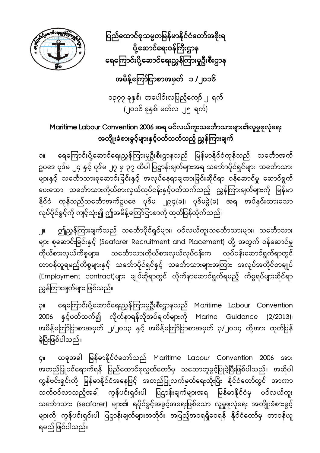ပြည်ထောင်စုသမ္မတမြန်မာနိုင်ငံတော်အစိုးရ ပို့ဆောင်ရေးဝန်ကြီးဌာန ရေကြောင်းပို့ဆောင်ရေးညွှန်ကြားမှုဦးစီးဌာန



အမိန့်ကြော်ငြာစာအမှတ် ၁ /၂၀၁၆

၁၃၇၇ ခုနှစ်၊ တပေါင်းလပြည့်ကျော် ၂ ရက် (၂၀၁၆ ခုနှစ်၊ မတ်လ ၂၅ ရက်)

### Maritime Labour Convention 2006 အရ ပင်လယ်ကူးသင်္ဘောသားများ၏လူမှုဖူလုံရေး အကျိုးခံစားခွင့်များနှင့်ပတ်သက်သည့် ညွှန်ကြားချက်

၁။ ရေကြောင်းပို့ဆောင်ရေးညွှန်ကြားမှုဦးစီးဌာနသည် မြန်မာနိုင်ငံကုန်သည် သင်္ဘောအက် ဥပဒေ ပုဒ်မ ၂၄ နှင့် ပုဒ်မ ၂၇ မှ ၃၇ ထိပါ ပြဋ္ဌာန်းချက်များအရ သင်္ဘောပိုင်ရှင်များ၊ သင်္ဘောသား များနှင့် သေ င်္ ဘာသားစုေဆာင်းြခင်းနှင့် အလုပ်ေနရာချထားြခင်းဆိုင်ရာ ဝန်ေဆာင်မှု ေဆာင်ရွက် ပေးသော သင်္ဘောသားကိုယ်စားလှယ်လုပ်ငန်းနှင့်ပတ်သက်သည့် ညွှန်ကြားချက်များကို မြန်မာ နိုင်ငံ ကုန်သည်သင်္ဘောအက်ဥပဒေ ပုဒ်မ ၂၉၄(ခ)၊ ပုဒ်မခွဲ(ခ) အရ အပ်နှင်းထားသော လုပ်ပိုင်ခွင့်ကို ကျင့်သုံး၍ ဤအမိန့်ကြော်ငြာစာကို ထုတ်ပြန်လိုက်သည်။

၂။ ဤညွှန်ကြားချက်သည် သင်္ဘောပိုင်ရှင်များ၊ ပင်လယ်ကူးသင်္ဘောသားများ၊ သင်္ဘောသား များ စုေဆာင်းြခင်းနှင့် (Seafarer Recruitment and Placement) တို့ အတွက် ဝန်ေဆာင်မှု ကိုယ်စားလှယ်ကိစ္စများ၊ သင်္ဘောသားကိုယ်စားလှယ်လုပ်ငန်းက လုပ်ငန်းဆောင်ရွက်ရာတွင် တာဝန်ယူရမည့်ကိစ္စများနှင့် သင်္ဘောပိုင်ရှင်နှင့် သင်္ဘောသားများအကြား အလုပ်အကိုင်စာချုပ် (Employment contract)များ ချုပ်ဆိုရာတွင် လိုက်နာဆောင်ရွက်ရမည့် ကိစ္စရပ်များဆိုင်ရာ ညွှန်ကြားချက်များ ဖြစ်သည်။

၃။ ရေကြောင်းပို့ဆောင်ရေးညွှန်ကြားမှုဦးစီးဌာနသည် Maritime Labour Convention 2006 နှင့်ပတ်သက်၍ လိုက်နာရန်လိုအပ်ချက်များကို Marine Guidance (2/2013)၊ အမိန့်ကြော်ငြာစာအမှတ် ၂/၂၀၁၃ နှင့် အမိန့်ကြော်ငြာစာအမှတ် ၃/၂၀၁၄ တို့အား ထုတ်ပြန် ခဲ့ပြီးဖြစ်ပါသည်။

၄။ ယခုအခါ ြ န်မာနိုင်ငံေတာ်သည် မ Maritime Labour Convention 2006 အား အတည်ပြုဝင်ရောက်ရန် ပြည်ထောင်စုလွှတ်တော်မှ သဘောတူခွင့်ပြုခဲ့ပြီးဖြစ်ပါသည်။ အဆိုပါ ကွန်ဗင်းရှင်းကို မြန်မာနိုင်ငံအနေဖြင့် အတည်ပြုလက်မှတ်ရေးထိုးပြီး နိုင်ငံတော်တွင် အာဏာ သက်ဝင်လာသည့်အခါ ကွန်ဗင်းရှင်းပါ ပြဋ္ဌာန်းချက်များအရ မြန်မာနိုင်ငံမှ ပင်လယ်ကူး သင်္ဘောသား (seɑfɑrer) များ၏ ရပိုင်ခွင့်အခွင့်အရေးဖြစ်သော လူမှုဖူလုံရေး အကျိုးခံစားခွင့် များကို ကွန်ဗင်းရှင်းပါ ပြဋ္ဌာန်းချက်များအတိုင်း အပြည့်အဝရရှိစေရန် နိုင်ငံတော်မှ တာဝန်ယူ ရမည် ဖြစ်ပါသည်။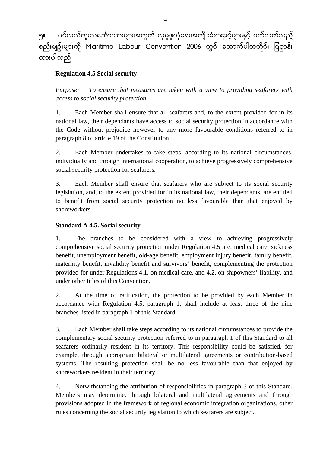၅။ ပင်လယ်ကူးသင်္ဘောသားများအတွက် လူမှုဖူလုံရေးအကျိုးခံစားခွင့်များနှင့် ပတ်သက်သည့် စည်းမျဥ်းများကို Maritime Labour Convention 2006 တွင် အောက်ပါအတိုင်း ပြဋ္ဌာန်း ထားပါသည်-

#### **Regulation 4.5 Social security**

*Purpose: To ensure that measures are taken with a view to providing seafarers with access to social security protection* 

1. Each Member shall ensure that all seafarers and, to the extent provided for in its national law, their dependants have access to social security protection in accordance with the Code without prejudice however to any more favourable conditions referred to in paragraph 8 of article 19 of the Constitution.

2. Each Member undertakes to take steps, according to its national circumstances, individually and through international cooperation, to achieve progressively comprehensive social security protection for seafarers.

3. Each Member shall ensure that seafarers who are subject to its social security legislation, and, to the extent provided for in its national law, their dependants, are entitled to benefit from social security protection no less favourable than that enjoyed by shoreworkers.

#### **Standard A 4.5. Social security**

1. The branches to be considered with a view to achieving progressively comprehensive social security protection under Regulation 4.5 are: medical care, sickness benefit, unemployment benefit, old-age benefit, employment injury benefit, family benefit, maternity benefit, invalidity benefit and survivors' benefit, complementing the protection provided for under Regulations 4.1, on medical care, and 4.2, on shipowners' liability, and under other titles of this Convention.

2. At the time of ratification, the protection to be provided by each Member in accordance with Regulation 4.5, paragraph 1, shall include at least three of the nine branches listed in paragraph 1 of this Standard.

3. Each Member shall take steps according to its national circumstances to provide the complementary social security protection referred to in paragraph 1 of this Standard to all seafarers ordinarily resident in its territory. This responsibility could be satisfied, for example, through appropriate bilateral or multilateral agreements or contribution-based systems. The resulting protection shall be no less favourable than that enjoyed by shoreworkers resident in their territory.

4. Notwithstanding the attribution of responsibilities in paragraph 3 of this Standard, Members may determine, through bilateral and multilateral agreements and through provisions adopted in the framework of regional economic integration organizations, other rules concerning the social security legislation to which seafarers are subject.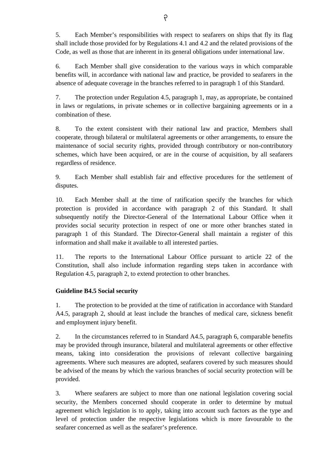5. Each Member's responsibilities with respect to seafarers on ships that fly its flag shall include those provided for by Regulations 4.1 and 4.2 and the related provisions of the Code, as well as those that are inherent in its general obligations under international law.

6. Each Member shall give consideration to the various ways in which comparable benefits will, in accordance with national law and practice, be provided to seafarers in the absence of adequate coverage in the branches referred to in paragraph 1 of this Standard.

7. The protection under Regulation 4.5, paragraph 1, may, as appropriate, be contained in laws or regulations, in private schemes or in collective bargaining agreements or in a combination of these.

8. To the extent consistent with their national law and practice, Members shall cooperate, through bilateral or multilateral agreements or other arrangements, to ensure the maintenance of social security rights, provided through contributory or non-contributory schemes, which have been acquired, or are in the course of acquisition, by all seafarers regardless of residence.

9. Each Member shall establish fair and effective procedures for the settlement of disputes.

10. Each Member shall at the time of ratification specify the branches for which protection is provided in accordance with paragraph 2 of this Standard. It shall subsequently notify the Director-General of the International Labour Office when it provides social security protection in respect of one or more other branches stated in paragraph 1 of this Standard. The Director-General shall maintain a register of this information and shall make it available to all interested parties.

11. The reports to the International Labour Office pursuant to article 22 of the Constitution, shall also include information regarding steps taken in accordance with Regulation 4.5, paragraph 2, to extend protection to other branches.

#### **Guideline B4.5 Social security**

1. The protection to be provided at the time of ratification in accordance with Standard A4.5, paragraph 2, should at least include the branches of medical care, sickness benefit and employment injury benefit.

2. In the circumstances referred to in Standard A4.5, paragraph 6, comparable benefits may be provided through insurance, bilateral and multilateral agreements or other effective means, taking into consideration the provisions of relevant collective bargaining agreements. Where such measures are adopted, seafarers covered by such measures should be advised of the means by which the various branches of social security protection will be provided.

3. Where seafarers are subject to more than one national legislation covering social security, the Members concerned should cooperate in order to determine by mutual agreement which legislation is to apply, taking into account such factors as the type and level of protection under the respective legislations which is more favourable to the seafarer concerned as well as the seafarer's preference.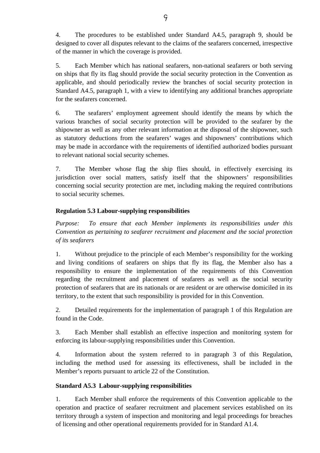4. The procedures to be established under Standard A4.5, paragraph 9, should be designed to cover all disputes relevant to the claims of the seafarers concerned, irrespective of the manner in which the coverage is provided.

5. Each Member which has national seafarers, non-national seafarers or both serving on ships that fly its flag should provide the social security protection in the Convention as applicable, and should periodically review the branches of social security protection in Standard A4.5, paragraph 1, with a view to identifying any additional branches appropriate for the seafarers concerned.

6. The seafarers' employment agreement should identify the means by which the various branches of social security protection will be provided to the seafarer by the shipowner as well as any other relevant information at the disposal of the shipowner, such as statutory deductions from the seafarers' wages and shipowners' contributions which may be made in accordance with the requirements of identified authorized bodies pursuant to relevant national social security schemes.

7. The Member whose flag the ship flies should, in effectively exercising its jurisdiction over social matters, satisfy itself that the shipowners' responsibilities concerning social security protection are met, including making the required contributions to social security schemes.

#### **Regulation 5.3 Labour-supplying responsibilities**

*Purpose: To ensure that each Member implements its responsibilities under this Convention as pertaining to seafarer recruitment and placement and the social protection of its seafarers* 

1. Without prejudice to the principle of each Member's responsibility for the working and living conditions of seafarers on ships that fly its flag, the Member also has a responsibility to ensure the implementation of the requirements of this Convention regarding the recruitment and placement of seafarers as well as the social security protection of seafarers that are its nationals or are resident or are otherwise domiciled in its territory, to the extent that such responsibility is provided for in this Convention.

2. Detailed requirements for the implementation of paragraph 1 of this Regulation are found in the Code.

3. Each Member shall establish an effective inspection and monitoring system for enforcing its labour-supplying responsibilities under this Convention.

4. Information about the system referred to in paragraph 3 of this Regulation, including the method used for assessing its effectiveness, shall be included in the Member's reports pursuant to article 22 of the Constitution.

#### **Standard A5.3 Labour-supplying responsibilities**

1. Each Member shall enforce the requirements of this Convention applicable to the operation and practice of seafarer recruitment and placement services established on its territory through a system of inspection and monitoring and legal proceedings for breaches of licensing and other operational requirements provided for in Standard A1.4.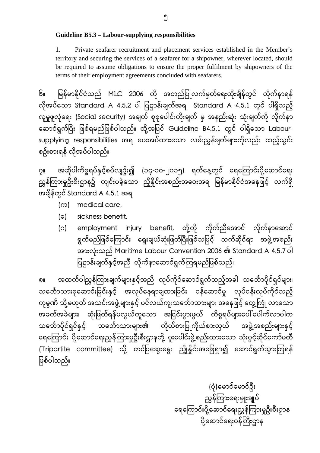**Guideline B5.3 – Labour-supplying responsibilities** 

1. Private seafarer recruitment and placement services established in the Member's territory and securing the services of a seafarer for a shipowner, wherever located, should be required to assume obligations to ensure the proper fulfilment by shipowners of the terms of their employment agreements concluded with seafarers.

၆။ မြန်မာနိုင်ငံသည် MLC 2006 ကို အတည်ပြုလက်မှတ်ရေးထိုးချိန်တွင် လိုက်နာရန် လိုအပ်သော Standard A 4.5.2 ပါ ပြဋ္ဌာန်းချက်အရ Standard A 4.5.1 တွင် ပါရှိသည့် လူမှုဖူလုံေရး (Social security) အချက် စုစုေပါင်းကိုးချက် မှ အနည်းဆုံး သုံးချက်ကို လိုက်နာ ဆောင်ရွက်ပြီး ဖြစ်ရမည်ဖြစ်ပါသည်။ ထို့အပြင် Guideline B4.5.1 တွင် ပါရှိသော Laboursupplying responsibilities အရ ေပးအပ်ထားေသာ လမ်းညွှန်ချက်များကိုလည်း ထည့်သွင်း စဥ်းစားရန် လိုအပ်ပါသည်။

၇။ အဆိုပါကိစ္စရပ်နှင့်စပ်လျဥ်း၍ (၁၄-၁၀-၂၀၁၅) ရက်နေ့တွင် ရေကြောင်းပို့ဆောင်ရေး ညွှန်ကြားမှုဦးစီးဌာန၌ ကျင်းပခဲ့သော ညှိနိူင်းအစည်းအဝေးအရ မြန်မာနိုင်ငံအနေဖြင့် လက်ရှိ အချိန်တွင် Standard A 4.5.1 အရ

- (က) medical care,
- (ခ) sickness benefit,
- (ဂ) employment injury benefit, တို့ကို ကိုက်ညီအောင် လိုက်နာဆောင် ရွက်မည်ဖြစ်ကြောင်း ရွေးချယ်ဆုံးဖြတ်ပြီးဖြစ်သဖြင့် သက်ဆိုင်ရာ အဖွဲ့အစည်း အားလုံးသည် Maritime Labour Convention 2006 ၏ Standard A 4.5.7 ပါ ပြဋ္ဌာန်းချက်နှင့်အညီ လိုက်နာဆောင်ရွက်ကြရမည်ဖြစ်သည်။

၈။ အထက်ပါညွှန်ကြားချက်များနှင့်အညီ လုပ်ကိုင်ဆောင်ရွက်သည့်အခါ သင်္ဘောပိုင်ရှင်များ၊ သင်္ဘောသားစုဆောင်းခြင်းနှင့် အလုပ်နေရာချထားခြင်း ဝန်ဆောင်မှု လုပ်ငန်းလုပ်ကိုင်သည့် ကုမ္ပဏီ သို့မဟုတ် အသင်းအဖွဲ့များနှင့် ပင်လယ်ကူးသင်္ဘောသားများ အနေဖြင့် တွေ့ကြုံ လာသော အခက်အခဲများ၊ ဆုံးဖြတ်ရန်မလွယ်ကူသော အငြင်းပွားဖွယ် ကိစ္စရပ်များပေါ် ပေါက်လာပါက သင်္ဘောပိုင်ရှင်နှင့် သင်္ဘောသားများ၏ ကိုယ်စားပြုကိုယ်စားလှယ် အဖွဲ့အစည်းများနှင့် ရေကြောင်း ပို့ဆောင်ရေးညွှန်ကြားမှုဦးစီးဌာနတို့ ပူးပေါင်းဖွဲ့စည်းထားသော သုံးပွင့်ဆိုင်ကော်မတီ (Tripartite committee) သို့ တင်ပြဆွေးနွေး ညှိုနိုင်းအဖြေရှာ၍ ဆောင်ရွက်သွားကြရန် ဖြစ်ပါသည်။

> (ပုံ)ေမာင်ေမာင်ဦး ညွှန်ကြားရေးမှူးချုပ် ရေကြောင်းပို့ဆောင်ရေးညွှန်ကြားမှုဦးစီးဌာန ပို့ဆောင်ရေးဝန်ကြီးဌာန